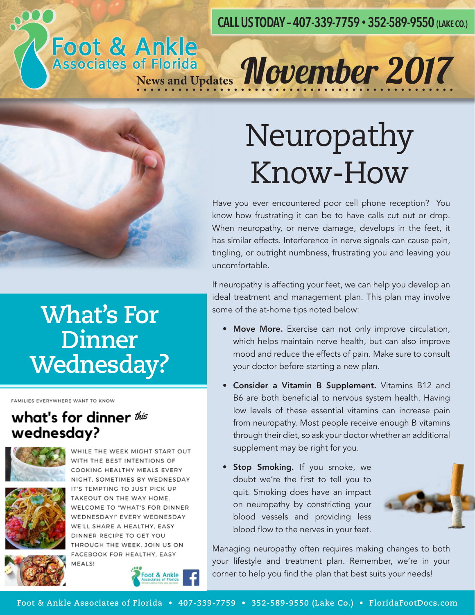#### **CALL US TODAY – 407-339-7759 • 352-589-9550 (LAKE CO.)**

# Foot & Ankle<br>Associates of Florida<br>News and Updates *November 2017*



#### **What's For Dinner Wednesday?**

FAMILIES EVERYWHERE WANT TO KNOW

#### what's for dinner this wednesday?



WHILE THE WEEK MIGHT START OUT WITH THE BEST INTENTIONS OF COOKING HEALTHY MEALS EVERY NIGHT, SOMETIMES BY WEDNESDAY IT'S TEMPTING TO JUST PICK UP TAKEOUT ON THE WAY HOME.



WELCOME TO "WHAT'S FOR DINNER WEDNESDAY!" EVERY WEDNESDAY WE'LL SHARE A HEALTHY, EASY DINNER RECIPE TO GET YOU THROUGH THE WEEK, JOIN US ON FACEBOOK FOR HEALTHY, EASY MEALS!





## Neuropathy Know-How

Have you ever encountered poor cell phone reception? You know how frustrating it can be to have calls cut out or drop. When neuropathy, or nerve damage, develops in the feet, it has similar effects. Interference in nerve signals can cause pain, tingling, or outright numbness, frustrating you and leaving you uncomfortable.

If neuropathy is affecting your feet, we can help you develop an ideal treatment and management plan. This plan may involve some of the at-home tips noted below:

- Move More. Exercise can not only improve circulation, which helps maintain nerve health, but can also improve mood and reduce the effects of pain. Make sure to consult your doctor before starting a new plan.
- Consider a Vitamin B Supplement. Vitamins B12 and B6 are both beneficial to nervous system health. Having low levels of these essential vitamins can increase pain from neuropathy. Most people receive enough B vitamins through their diet, so ask your doctor whether an additional supplement may be right for you.
- **Stop Smoking.** If you smoke, we doubt we're the first to tell you to quit. Smoking does have an impact on neuropathy by constricting your blood vessels and providing less blood flow to the nerves in your feet.



Managing neuropathy often requires making changes to both your lifestyle and treatment plan. Remember, we're in your corner to help you find the plan that best suits your needs!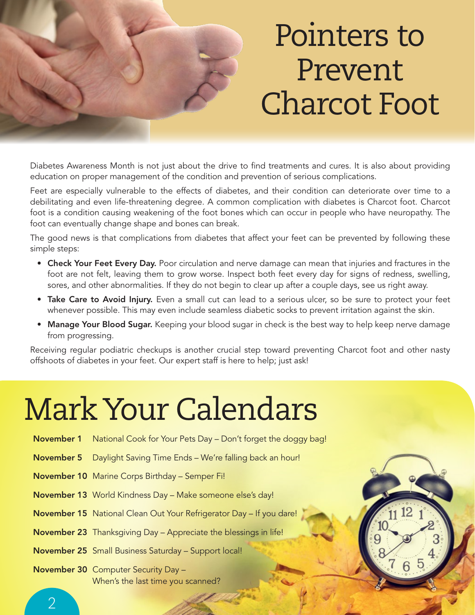

### Pointers to Prevent Charcot Foot

Diabetes Awareness Month is not just about the drive to find treatments and cures. It is also about providing education on proper management of the condition and prevention of serious complications.

Feet are especially vulnerable to the effects of diabetes, and their condition can deteriorate over time to a debilitating and even life-threatening degree. A common complication with diabetes is Charcot foot. Charcot foot is a condition causing weakening of the foot bones which can occur in people who have neuropathy. The foot can eventually change shape and bones can break.

The good news is that complications from diabetes that affect your feet can be prevented by following these simple steps:

- Check Your Feet Every Day. Poor circulation and nerve damage can mean that injuries and fractures in the foot are not felt, leaving them to grow worse. Inspect both feet every day for signs of redness, swelling, sores, and other abnormalities. If they do not begin to clear up after a couple days, see us right away.
- Take Care to Avoid Injury. Even a small cut can lead to a serious ulcer, so be sure to protect your feet whenever possible. This may even include seamless diabetic socks to prevent irritation against the skin.
- Manage Your Blood Sugar. Keeping your blood sugar in check is the best way to help keep nerve damage from progressing.

Receiving regular podiatric checkups is another crucial step toward preventing Charcot foot and other nasty offshoots of diabetes in your feet. Our expert staff is here to help; just ask!

### Mark Your Calendars

|            | <b>November 1</b> National Cook for Your Pets Day – Don't forget the doggy bag! |
|------------|---------------------------------------------------------------------------------|
| November 5 | Daylight Saving Time Ends - We're falling back an hour!                         |
|            | <b>November 10</b> Marine Corps Birthday - Semper Fi!                           |
|            | November 13 World Kindness Day - Make someone else's day!                       |
|            | <b>November 15</b> National Clean Out Your Refrigerator Day - If you dare!      |
|            | <b>November 23</b> Thanksgiving Day - Appreciate the blessings in life!         |
|            | November 25 Small Business Saturday - Support local!                            |
|            | <b>November 30</b> Computer Security Day -<br>When's the last time you scanned? |



 $\mathcal{P}$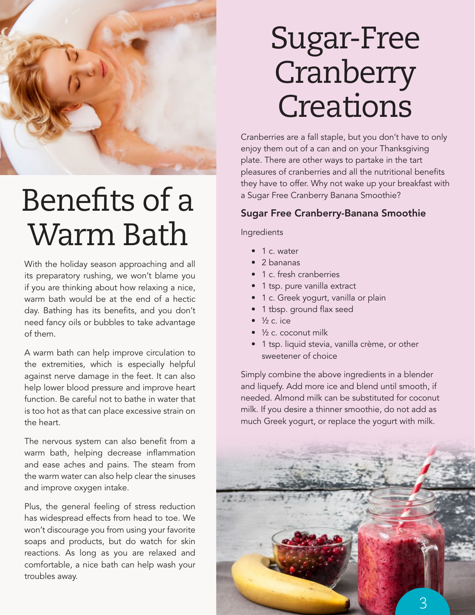

### Benefits of a Warm Bath

With the holiday season approaching and all its preparatory rushing, we won't blame you if you are thinking about how relaxing a nice, warm bath would be at the end of a hectic day. Bathing has its benefits, and you don't need fancy oils or bubbles to take advantage of them.

A warm bath can help improve circulation to the extremities, which is especially helpful against nerve damage in the feet. It can also help lower blood pressure and improve heart function. Be careful not to bathe in water that is too hot as that can place excessive strain on the heart.

The nervous system can also benefit from a warm bath, helping decrease inflammation and ease aches and pains. The steam from the warm water can also help clear the sinuses and improve oxygen intake.

Plus, the general feeling of stress reduction has widespread effects from head to toe. We won't discourage you from using your favorite soaps and products, but do watch for skin reactions. As long as you are relaxed and comfortable, a nice bath can help wash your troubles away.

### Sugar-Free **Cranberry Creations**

Cranberries are a fall staple, but you don't have to only enjoy them out of a can and on your Thanksgiving plate. There are other ways to partake in the tart pleasures of cranberries and all the nutritional benefits they have to offer. Why not wake up your breakfast with a Sugar Free Cranberry Banana Smoothie?

#### Sugar Free Cranberry-Banana Smoothie

Ingredients

- 1 c. water
- 2 bananas
- 1 c. fresh cranberries
- 1 tsp. pure vanilla extract
- 1 c. Greek yogurt, vanilla or plain
- 1 tbsp. ground flax seed
- $\frac{1}{2}$  c. ice
- $\frac{1}{2}$  c. coconut milk
- 1 tsp. liquid stevia, vanilla crème, or other sweetener of choice

Simply combine the above ingredients in a blender and liquefy. Add more ice and blend until smooth, if needed. Almond milk can be substituted for coconut milk. If you desire a thinner smoothie, do not add as much Greek yogurt, or replace the yogurt with milk.